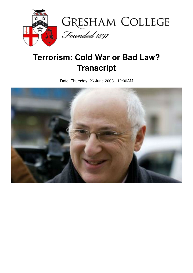

## **Terrorism: Cold War or Bad Law? Transcript**

Date: Thursday, 26 June 2008 - 12:00AM

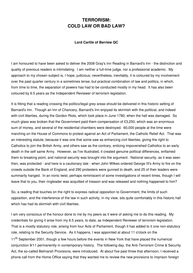## **TERRORISM: COLD LAW OR BAD LAW?**

## **Lord Carlile of Berriew QC**

I am honoured to have been asked to deliver the 2008 Gray's Inn Reading in Barnard's Inn - the distinction and quality of previous readers is intimidating. I am neither a full-time judge, nor a professorial academic. My approach to my chosen subject is, I hope, judicious; nevertheless, inevitably, it is coloured by my involvement over the past quarter century in a sometimes tense, but practical combination of law and politics, in which, from time to time, the separation of powers has had to be conducted mostly in my head. It has also been coloured by 6.5 years as the Independent Reviewer of terrorism legislation.

It is fitting that a reading crossing the politico/legal grey areas should be delivered in this historic setting of Barnard's Inn. Though an Inn of Chancery, Barnard's Inn enjoyed its skirmish with the political, and indeed with civil liberties, during the Gordon Riots, which took place in June 1780, when the hall was damaged. So much glass was broken that the Government paid them compensation of £3,250, which was an enormous sum of money, and several of the residential chambers were destroyed. 60,000 people at the time were marching on the House of Commons to protest against an Act of Parliament, the Catholic Relief Act. That was an interesting statute, because it was one that some saw as enhancing civil liberties, giving the right to Catholics to join the British Army, and others saw as the contrary, enticing impoverished Catholics to an early death in the self same Army. However, as I've illustrated, it created genuine political differences, enflamed them to breaking point, and national security was brought into the argument. National security, as it was seen then, was protected - and here is a cautionary tale - when John Wilkes ordered George III's Army to fire on the crowds outside the Bank of England, and 290 protesters were gunned to death, and 25 of their leaders were summarily hanged. In an ironic twist, perhaps reminiscent of some investigations of recent times, though I will leave that to you, their ringleader was acquitted of treason and was released and nothing happened to him?

So, a reading that touches on the right to express radical opposition to Government, the limits of such opposition, and the interference of the law in such activity, in my view, sits quite comfortably in this historic hall which has had its skirmish with civil liberties.

I am very conscious of the honour done to me by my peers as it were of asking me to do this reading. My credentials for giving it arise from my 6.5 years, to date, as Independent Reviewer of terrorism legislation. That is a mostly statutory role, arising from four Acts of Parliament, though it has added to it one non-statutory role, relating to the Security Service. As it happens, I was appointed at about 11 o'clock on the 11<sup>th</sup> September 2001, though a few hours before the events in New York that have placed the numerical conjunction 9/11 permanently in contemporary history. The following day, the Anti-Terrorism Crime & Security Act, the so-called Belmarsh Provisions, were introduced. At about five past three that afternoon, I received a phone call from the Home Office saying that they wanted me to review the new provisions to imprison foreign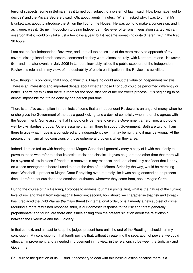terrorist suspects, some in Belmarsh as it turned out, subject to a system of law. I said, 'How long have I got to decide?' and the Private Secretary said, 'Oh, about twenty minutes.' When I asked why, I was told that Mr Blunkett was about to introduce the Bill on the floor of the House. He was going to make a concession, and I, as it were, was it. So my introduction to being Independent Reviewer of terrorism legislation started with an assertion that it would only take just a few days a year, but it became something quite different within the first 36 hours.

I am not the first Independent Reviewer, and I am all too conscious of the more reserved approach of my several distinguished predecessors, concerned as they were, almost entirely, with Northern Ireland. However, 9/11 and the later events in July 2005 in London, inevitably raised the public exposure of the Independent Reviewer's role and, in my view, of the desirability of public participation in the Reviewer's activities.

Now, though it is obviously that I should think this, I have no doubt about the value of independent reviews. There is an interesting and important debate about whether those I conduct could be performed differently or better. I certainly think that there is room for the sophistication of the reviewer's process. It is beginning to be almost impossible for it to be done by one person part-time.

There is a naïve assumption in the minds of some that an Independent Reviewer is an angel of mercy when he or she gives the Government of the day a good kicking, and a devil of complicity when he or she agrees with the Government. Some assume that I should only be there to give the Government a hard time, a job done well by civil liberties groups. Others assume that I am there to support Government. Both are wrong. I am there to give what I hope is a considered and independent view. It may be right, and it may be wrong. At the present time, I am all too conscious of those ephemeral problems when they arise.

Indeed, I am so fed up with hearing about Magna Carta that I generally carry a copy of it with me, if only to prove to those who refer to it that its sexist, racist and classist. It gives no guarantee other than that there will be a system of law in place if freedom is removed in any respects, and I am absolutely confident that Liberty, on whose management board I used to be at the time of the Miners' Strike by the way, would be marching down Whitehall in protest at Magna Carta if anything even remotely like it was being enacted at the present time. I prefer a serious debate to emotional outbursts, wherever they come from, about Magna Carta.

During the course of this Reading, I propose to address four main points: first, what is the nature of the current level of risk and threat from international terrorism; second, how should we characterise that risk and threat has it replaced the Cold War as *the* major threat to international order, or is it merely a new sub-set of crime requiring a more restrained response; third, is our domestic response to the risk and threat generally proportionate; and fourth, are there any issues arising from the present situation about the relationship between the Executive and the Judiciary.

In that context, and at least to keep the judges present here until the end of the Reading, I should trail my conclusion. My conclusion on that fourth point is that, without threatening the separation of powers, we could effect an improvement, and a needed improvement in my view, in the relationship between the Judiciary and Government.

So, I turn to the question of risk. I find it necessary to deal with this basic question because there is a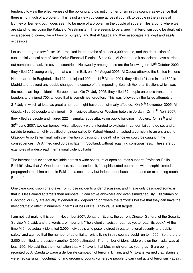tendency to view the effectiveness of the policing and disruption of terrorism in this country as evidence that there is not much of a problem. This is not a view you come across if you talk to people in the streets of Burnley or Berriew, but it does seem to be more of a problem in the couple of square miles around where we are standing, including the Palace of Westminster. There seems to be a view that terrorism could be dealt with as a species of crime, like robbery or burglary, and that Al Qaeda and their associates are inept and easily accessible.

Let us not forget a few facts: 9/11 resulted in the deaths of almost 3,000 people, and the destruction of a substantial vertical part of New York's Financial District. Since 9/11 Al Qaeda and it associates have carried out numerous attacks in several countries. Noteworthy among these are the following: on 12<sup>th</sup> October 2002, they killed 202 young partygoers at a club in Bali; on 19<sup>th</sup> August 2003, Al Qaeda attacked the United Nations Headquarters in Baghdad, killed 22 and injured 200; on 11<sup>th</sup> March 2004, they killed 191 and injured 600 in Madrid and, beyond any doubt, changed the course of the impending Spanish General Election, which was the most alarming incident in Europe so far. On 7<sup>th</sup> July 2005, they killed 52 people on public transport in London, and injured 700, a figure that is sometimes forgotten. This was followed by the failed attempts on 21<sup>st</sup>July in which at least as great a number might have been similarly affected. On 9 <sup>th</sup> November 2005, Al Qaeda killed 60 people and injured 115 in suicide attacks on Western hotels in Jordan. On 11<sup>th</sup> April 2007, they killed 33 people and injured 222 in simultaneous attacks on public buildings in Algiers. On 29<sup>th</sup> and 30<sup>th</sup> June 2007, two car bombs, which allegedly were intended to explode in London failed to do so, and a suicide terrorist, a highly qualified engineer called Dr Kafeel Ahmed, smashed a vehicle into an entrance to Glasgow Airport's terminal, with the intention of causing the death of whoever could be caught in the consequences. Dr Ahmed died 33 days later, in Scotland, without regaining consciousness. These are but examples of widespread international violent Jihadism.

The international evidence available across a wide spectrum of open sources supports Professor Philip Bobbitt's view that Al Qaeda remains, as he describes it, 'a sophisticated operation, with a sophisticated propaganda machine based in Pakistan, a secondary but independent base in Iraq, and an expanding reach in Europe.'

One clear conclusion one draws from those incidents under discussion, and I have only described some, is that it is less aimed at targets than numbers. It can strike anywhere and even simultaneously. Blackfriars or Blackpool or Bury are equally at general risk, depending on where the terrorists believe that they can have the most dramatic effect in numbers in terms of loss of life. They value soft targets.

I am not just making this up. In November 2007, Jonathan Evans, the current Director General of the Security Service MI5 said, and the words are important, 'The violent Jihadist threat has yet to reach its peak.' At the time MI5 had actually identified 2,000 individuals who pose 'a direct threat to national security and public safety' and warned that the number of potential terrorists living in this country could run to 4,000. So there are 2,000 identified, and possibly another 2,000 estimated. The number of identifiable plots on their radar was at least 200. He said that the information that MI5 have is that Muslim children as young as 15 are being recruited by Al Qaeda to wage a deliberate campaign of terror in Britain, and Mr Evans warned that Islamists were 'radicalising, indoctrinating, and grooming young, vulnerable people to carry out acts of terrorism' - again,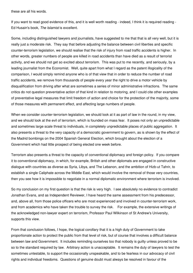these are all his words.

If you want to read good evidence of this, and it is well worth reading - indeed, I think it is required reading - Ed Husain's book, *The Islamist* is excellent.

Some, including distinguished lawyers and journalists, have suggested to me that that is all very well, but it is really just a moderate risk. They say that before adjusting the balance between civil liberties and specific counter-terrorism legislation, we should realise that the risk of injury from road traffic accidents is higher. In other words, greater numbers of people are killed in road accidents than have died as a result of terrorist activity, and we should not get so excited about terrorism. This was put to me recently, and seriously, by a leading journalist from the Economist. Well, quite apart from what I regard as the patent illogicality of the comparison, I would simply remind anyone who is of that view that in order to reduce the number of road traffic accidents, we remove from thousands of people every year the right to drive a motor vehicle by disqualification from driving after what are sometimes a series of minor administrative infractions. The same critics do not question preventative action of that kind in relation to motoring, and I could cite other examples of preventative legal measures that limit freedom of action and choice for the protection of the majority, some of those measures with permanent effect, and affecting large numbers of people.

When we consider counter-terrorism legislation, we should look at it as part of law in the round, in my view, and we should look at the evil of terrorism, which is founded on mass fear. It poses not only an unpredictable and sometimes large scale threat to individuals, in completely unpredictable places of public aggregation. It also presents a threat to the very capacity of a democratic government to govern, as is shown by the effect of the Madrid bombings on the 2004 Spanish General Election, which brought about the election of a Government which had little prospect of being elected one week before.

Terrorism also presents a threat to the capacity of conventional diplomacy and foreign policy. If you compare it to conventional diplomacy, in which, for example, British and other diplomats are engaged in constructive dialogue with countries as diverse as Syria, Libya, and The Lebanon, and the ambition of Hizb-ut Tahrir, to establish a single Caliphate across the Middle East, which would involve the removal of those very countries, then you see how it is impossible to negotiate in a normal diplomatic environment where terrorism is involved.

So my conclusion on my first question is that the risk is very high. I see absolutely no evidence to contradict Jonathan Evans, and as Independent Reviewer, I have heard the same assessment from his predecessor, and, above all, from those police officers who are most experienced and involved in counter-terrorism work, and from academics who have taken the trouble to survey the risk. For example, the extensive writings of the acknowledged non-lawyer expert on terrorism, Professor Paul Wilkinson of St Andrew's University, supports this view.

From that conclusion follows, I hope, the logical corollary that it is a high duty of Government to take proportionate action to protect the public from that level of risk, but of course that involves a difficult balance between law and Government. It includes reminding ourselves too that nobody is guilty unless proved to be so to the standard required by law. Arbitrary action is unacceptable. It remains the duty of lawyers to test the sometimes untestable, to support the occasionally unspeakable, and to be fearless in our advocacy of civil rights and individual freedoms. Questions of genuine doubt must always be resolved in favour of the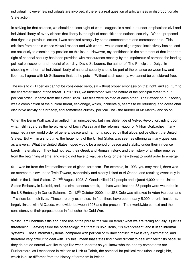individual, however few individuals are involved, if there is a real question of arbitrariness or disproportionate State action.

In striving for that balance, we should not lose sight of what I suggest is a real, but under-emphasised civil and individual liberty of every citizen: that liberty is the right of each citizen to national security. When I proposed that right in a previous lecture, I was attacked strongly by some commentators and correspondents. This criticism from people whose views I respect and with whom I would often align myself instinctively has caused me anxiously to examine my position on this issue. However, my confidence in the statement of that important right of national security has been provided with reassurance recently by the imprimatur of perhaps the leading political philosopher and theorist of our day, David Selbourne, the author of 'The Principle of Duty'. In choosing whether that individual liberty of national security should be part of the balance between law and liberties, I agree with Mr Selbourne that, as he puts it, 'Without such security, we cannot be considered free.'

The risks to civil liberties cannot be considered seriously without proper emphasis on that right, and so I turn to the characterisation of the threat. Until 1989, we understood well the nature of the principal threat to our political order. It came from the Soviet Block. Missiles were pointed at each other. Their attack on our society was a combination of the nuclear threat, espionage, which, incidentally, seems to be returning, and occasional disruptive activity of a broadly, and sometimes clumsy, political kind - the murder of Mr Markov and so on.

When the Berlin Wall was dismantled in an unexpected, but irresistible, tide of Velvet Revolution, riding upon what I still regard as the heroic vision of Lech Walesa and the reformist vigour of Mikhail Gorbachev, many imagined a new world order of general peace and harmony, secured by that global police officer, the United States. But within a short time, the hegemony of the United States was seen as offering as many questions as answers. What the United States hoped would be a period of peace and stability under their influence barely materialised. They had not read their Greek and Roman history, and the history of all other empires from the beginning of time, and we did not have to wait very long for the new threat to world order to emerge.

9/11 was far from the first manifestation of global terrorism. For example, in 1993, you may recall, there was an attempt to blow up the Twin Towers, evidentially and clearly linked to Al Qaeda, and resulting eventually in trials in the United States. On 7<sup>th</sup> August 1998, Al Qaeda killed 212 people and injured 4,000 at the United States Embassy in Nairobi, and, in a simultaneous attack, 11 lives were lost and 85 people were wounded in the US Embassy in Dar es Salaam. On 12<sup>th</sup> October 2000, the USS Cole was attacked in Aden Harbour, and 17 sailors lost their lives. These are only examples. In fact, there have been nearly 5,000 terrorist incidents, largely linked with Al Qaeda, worldwide, between 1996 and the present. Their worldwide context and the consistency of their purpose does in fact echo the Cold War.

Whilst I am unenthusiastic about the use of the phrase 'the war on terror,' what we are facing actually is just as threatening. Leaving aside the phraseology, the threat is ubiquitous, it is ever-present, and it used informal systems. Those informal systems, compared with political or military conflict, make it very asymmetric, and therefore very difficult to deal with. By this I mean that states find it very difficult to deal with terrorists because they do not do normal war-like things like wear uniforms so you know who the enemy combatants are. Furthermore, as I mentioned in relation to Hizb-ut Tahrir, the potential for political resolution is negligible, which is quite different from the history of terrorism in Ireland.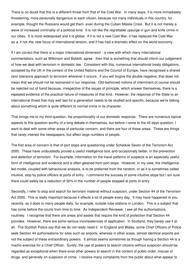There is no doubt that this is a different threat from that of the Cold War. In many ways, it is more immediately threatening, more personally dangerous to each citizen, because not many individuals in this country, for example, thought the Russians would get them, even during the Cuban Missile Crisis. But it is not merely a wave of increased criminality of a political kind. It is not like the regrettable upsurge in gun and knife crime in our cities. It is more widespread and it is global. If it is not a new Cold War, it has replaced the Cold War as *a*, if not *the*, new focus of international tension, and it has had a dramatic effect on the world economy.

If I am correct that there is a major international dimension - a view with which many international commentators, such as Wilkinson and Bobbitt, agree - then that is something that should inform our judgement of how we deal with terrorism in domestic law. Consistent with this, numerous international treaty obligations, accepted by the UK in the context of the United Nations and the Council of Europe, have recognised a shared zero tolerance approach to terrorism wherever it occurs. If you will forgive the double negative, that does not mean that we should not be restrained in our response. Old-fashioned notions of internment of course should be rejected out of hand because, irrespective of the issues of principle, which answer themselves, there is a repeated evidence of the practical failure of measures of that kind. However, the response of the State to an international threat that may well last for a generation needs to be studied and specific, because we're talking about something which is quite different to normal crime in its character.

That brings me to my third question, the proportionality of our domestic response. There are numerous topical aspects to this question worthy of a long debate in themselves, but before I come to the 42 days question, I want to deal with some other areas of particular concern, and there are four of those areas. These are things that rarely interest the newspapers, but affect large numbers of people.

The first area of concern is that of port stops and questioning under Schedule Seven of the Terrorism Act 2000. These have undoubtedly proved a useful intelligence tool, and occasionally better, in the prevention and detection of terrorism. For example, information on the travel patterns of suspects is an especially useful form of intelligence and evidence and is often gleaned from port stops. However, in my view, the intelligenceled model, coupled with behavioural analysis, is to be preferred from the random, or as it is sometimes called intuitive, stop by police officers at ports of entry. I commend the success of some intuitive stops but I am sure there could safely be a reduction of 50% in the number of people stopped at ports of entry.

Secondly, I refer to stop and search for terrorism material without suspicion, under Section 44 of the Terrorism Act 2000. This is really important because it affects a lot of people every day. It may have happened to you recently, as it does to many people daily, for example, outside tube stations in London. This is a subject that has come before the courts from time to time. As Independent Reviewer, I see all the authorisations, routinely. I recognise that there are areas and assets that require the kind of protection that Section 44 provides. However, there are some serious inconsistencies of application. In Scotland, they barely use it at all. The Scottish Police say that we do not really need it. In England and Wales, some Chief Officers of Police seek Section 44 authorisations for sites such as airports, whereas in other areas, almost identical airports are not the subject of these extraordinary powers. It almost seems sometimes as though having a Section 44 is a macho exercise for a Chief Officer. Surely, the use of powers to search citizens without suspicion should be regarded as exceptional when there exist other powers to search in the context of public order, misuse of drugs, and generally on suspicion of crime. I receive many complaints from the public about what appear to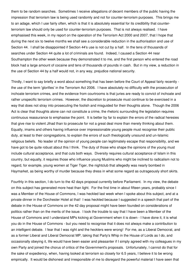them to be random searches. Sometimes I receive allegations of decent members of the public having the impression that terrorism law is being used randomly and not for counter-terrorism purposes. This brings me to an adage, which I use fairly often, which is that it is absolutely essential for its credibility that counterterrorism law should only be used for counter-terrorism purposes. That is not always realised. I have emphasised this week, in my report on the operation of the Terrorism Act 2000 and 2007, that I hope that during the next six to twelve months we shall see a considerable reduction in the authorisation and use of Section 44. I shall be disappointed if Section 44's use is not cut by a half. In the tens of thousands of searches under Section 44 quite a lot of criminals are found. Indeed, I caused a Section 44 near Southampton the other week because they demonstrated it to me, and the first person who entered the road block had a large amount of cocaine and tens of thousands of pounds in cash. But in my view, a reduction in the use of Section 44 by a half would not, in any way, prejudice national security.

Thirdly, I want to say briefly a word about something that has been before the Court of Appeal fairly recently the use of the term 'glorifies' in the Terrorism Act 2006. I have absolutely no difficulty with the prosecution of inchoate terrorism crimes, and the evidence from courtrooms is that juries are ready to convict of inchoate and rather unspecific terrorism crimes. However, the discretion to prosecute must continue to be exercised in a way that does not stray into prosecuting the foolish and misguided for their thoughts alone. Though the 2006 Act is clear that thoughts alone can not constitute a crime, the rhetoric surrounding the legislation requires continuous reassurance to emphasise the point. It is better by far to explain the errors of the radical heresies that give rise to violent Jihad than to prosecute for not a great deal more than merely thinking about them. Equally, imams and others having influence over impressionable young people must recognise their public duty, at least to their congregations, to explain the errors of such theologically unsound and un-Islamic religious beliefs. No leader of the opinion of young people can legitimately escape that responsibility, and we have got to be quite robust about this I think. The duty of those who shape the opinions of the young must include cultural acceptance, and that cuts both ways. Diversity requires cultural acceptance of Islam in this country, but equally, it requires those who influence young Muslims who might be inclined to radicalism not to regard, for example, young women at Tiger Tiger, the nightclub that allegedly was nearly bombed in Haymarket, as being worthy of murder because they dress in what some regard as outrageously short skirts.

Fourthly in this section, I do turn to the 42 days proposal currently before Parliament. In my view, the debate on this subject has generated more heat than light. For the first time in about fifteen years, probably since I was a Member of the House of Commons, I was heckled last week when I spoke about this subject, and at a private dinner in the Dorchester Hotel at that! I was heckled because I suggested in a speech that part of the debate in the House of Commons on the 42 day proposal might have been founded on considerations of politics rather than on the merits of the issue. I took the trouble to say that I have been a Member of the House of Commons and I understand MPs kicking at Government when it is down - I have done it, it is what you do in the House of Commons - but you need to recognise that it does not always make a contribution to an intelligent debate. I fear that I was right and the hecklers were wrong! For me, as a Liberal Democrat, and as a former Liberal and Liberal Democrat MP, taking that Party's Whip in the House of Lords as I do, and occasionally obeying it, life would have been easier and pleasanter if I simply agreed with my colleagues in my own Party and joined the chorus of critics of the Government's proposals. Unfortunately, I cannot do that for the sake of expediency, when, having looked at terrorism so closely for 6.5 years, I believe it to be wrong empirically. It would be dishonest and irresponsible of me to disregard the powerful material I have seen that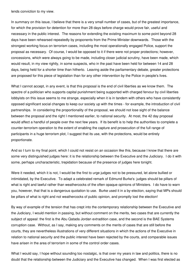lends conviction to my view.

In summary on this issue, I believe that there is a very small number of cases, but of the greatest importance, for which the provision for detention for more than 28 days before charge would prove fair, useful and necessary in the public interest. The reasons for extending the existing maximum to some point beyond 28 days have been rehearsed repeatedly by proponents from the Prime Minister downwards. Those with the strongest working focus on terrorism cases, including the most operationally engaged Police, support the proposal as necessary. Of course, I would be opposed to it if there were not proper protections; however, concessions, which were always going to be made, including closer judicial scrutiny, have been made, which would result, in my view rightly, in some suspects, who in the past have been held for between 14 and 28 days, being held for a shorter time than hitherto. Leaving aside the parliamentary debate, greater protections are proposed for this piece of legislation than for any other intervention by the Police in people's lives.

What I cannot accept, in any event, is that this proposal is the end of civil liberties as we know them. The spectre of a politician who supports capital punishment being supported with charged fervour by civil liberties lobbyists on this issue seems to me strange, especially when it is in tandem with others who have consistently opposed significant social changes to keep our society up with the times - for example, the introduction of civil partnerships. In considering the proportionality of the proposal, we should not lose sight of the balance between the proposal and the right I mentioned earlier, to national security. At most, the 42 day proposal would affect a handful of people over the next few years. If its benefit is to help the authorities to complete a counter-terrorism operation to the extent of enabling the capture and prosecution of the full range of participants in a huge terrorism plot, I suggest that its use, with the protections, would be entirely proportionate.

And so I turn to my final point, which I could not resist on an occasion like this, because I know that there are some very distinguished judges here: it is the relationship between the Executive and the Judiciary. I do it with some, perhaps uncharacteristic, trepidation because of the presence of judges here tonight.

Were it needed, which it is not, I would be the first to urge judges not to be pressured, let alone bullied or intimidated, by the Executive. To adapt a celebrated remark of Edmund Burke's: judges should be pillars of what is right and lawful rather than weathercocks of the often opaque opinions of Ministers. I do have to warn you, however, that that is a dangerous quotation to use. Burke used it in a by-election, saying that MPs should be pillars of what is right and not weathercocks of public opinion, and promptly lost the election!

By way of example of the tension that has crept into the contemporary relationship between the Executive and the Judiciary, I would mention in passing, but without comment on the merits, two cases that are currently the subject of appeal: the first is the Abu Qatada Jordan extradition case, and the second is the BAE Systems corruption case. Without, as I say, making any comments on the merits of cases that are still before the courts, they are nevertheless illustrations of very different situations in which the actions of the Executive in relation to national security and the public interest have been rejected by the courts, and comparable issues have arisen in the area of terrorism in some of the control order cases.

What I would say, I hope without sounding too nostalgic, is that over my years in law and politics, there is no doubt that the relationship between the Judiciary and the Executive has changed. When I was first elected as